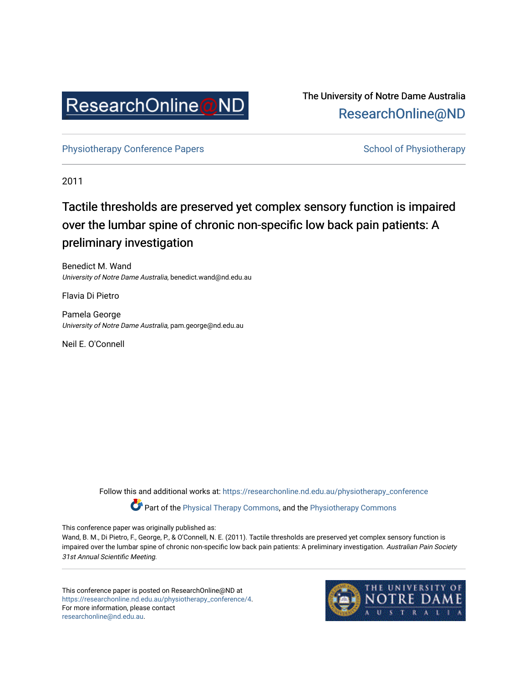

The University of Notre Dame Australia [ResearchOnline@ND](https://researchonline.nd.edu.au/) 

[Physiotherapy Conference Papers](https://researchonline.nd.edu.au/physiotherapy_conference) [School of Physiotherapy](https://researchonline.nd.edu.au/physiotherapy) School of Physiotherapy

2011

## Tactile thresholds are preserved yet complex sensory function is impaired over the lumbar spine of chronic non-specific low back pain patients: A preliminary investigation

Benedict M. Wand University of Notre Dame Australia, benedict.wand@nd.edu.au

Flavia Di Pietro

Pamela George University of Notre Dame Australia, pam.george@nd.edu.au

Neil E. O'Connell

Follow this and additional works at: [https://researchonline.nd.edu.au/physiotherapy\\_conference](https://researchonline.nd.edu.au/physiotherapy_conference?utm_source=researchonline.nd.edu.au%2Fphysiotherapy_conference%2F4&utm_medium=PDF&utm_campaign=PDFCoverPages) 

Part of the [Physical Therapy Commons,](http://network.bepress.com/hgg/discipline/754?utm_source=researchonline.nd.edu.au%2Fphysiotherapy_conference%2F4&utm_medium=PDF&utm_campaign=PDFCoverPages) and the [Physiotherapy Commons](http://network.bepress.com/hgg/discipline/1086?utm_source=researchonline.nd.edu.au%2Fphysiotherapy_conference%2F4&utm_medium=PDF&utm_campaign=PDFCoverPages) 

This conference paper was originally published as:

Wand, B. M., Di Pietro, F., George, P., & O'Connell, N. E. (2011). Tactile thresholds are preserved yet complex sensory function is impaired over the lumbar spine of chronic non-specific low back pain patients: A preliminary investigation. Australian Pain Society 31st Annual Scientific Meeting.

This conference paper is posted on ResearchOnline@ND at [https://researchonline.nd.edu.au/physiotherapy\\_conference/4.](https://researchonline.nd.edu.au/physiotherapy_conference/4) For more information, please contact [researchonline@nd.edu.au.](mailto:researchonline@nd.edu.au)